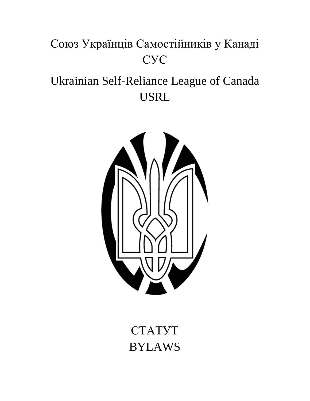# Союз Українців Самостійників у Канаді СУС

# Ukrainian Self-Reliance League of Canada USRL



СТАТУТ BYLAWS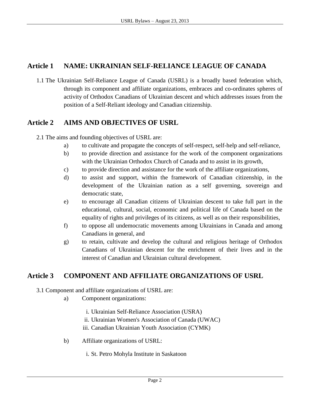## **Article 1 NAME: UKRAINIAN SELF-RELIANCE LEAGUE OF CANADA**

1.1 The Ukrainian Self-Reliance League of Canada (USRL) is a broadly based federation which, through its component and affiliate organizations, embraces and co-ordinates spheres of activity of Orthodox Canadians of Ukrainian descent and which addresses issues from the position of a Self-Reliant ideology and Canadian citizenship.

## **Article 2 AIMS AND OBJECTIVES OF USRL**

- 2.1 The aims and founding objectives of USRL are:
	- a) to cultivate and propagate the concepts of self-respect, self-help and self-reliance,
	- b) to provide direction and assistance for the work of the component organizations with the Ukrainian Orthodox Church of Canada and to assist in its growth,
	- c) to provide direction and assistance for the work of the affiliate organizations,
	- d) to assist and support, within the framework of Canadian citizenship, in the development of the Ukrainian nation as a self governing, sovereign and democratic state,
	- e) to encourage all Canadian citizens of Ukrainian descent to take full part in the educational, cultural, social, economic and political life of Canada based on the equality of rights and privileges of its citizens, as well as on their responsibilities,
	- f) to oppose all undemocratic movements among Ukrainians in Canada and among Canadians in general, and
	- g) to retain, cultivate and develop the cultural and religious heritage of Orthodox Canadians of Ukrainian descent for the enrichment of their lives and in the interest of Canadian and Ukrainian cultural development.

## **Article 3 COMPONENT AND AFFILIATE ORGANIZATIONS OF USRL**

- 3.1 Component and affiliate organizations of USRL are:
	- a) Component organizations:
		- i. Ukrainian Self-Reliance Association (USRA)
		- ii. Ukrainian Women's Association of Canada (UWAC)
		- iii. Canadian Ukrainian Youth Association (CYMK)
	- b) Affiliate organizations of USRL:
		- i. St. Petro Mohyla Institute in Saskatoon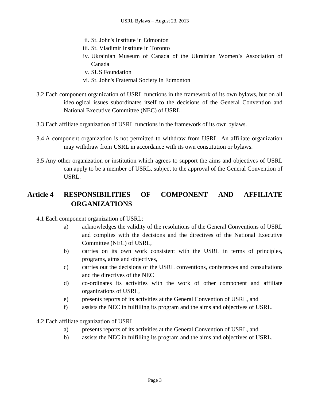- ii. St. John's Institute in Edmonton
- iii. St. Vladimir Institute in Toronto
- iv. Ukrainian Museum of Canada of the Ukrainian Women's Association of Canada
- v. SUS Foundation
- vi. St. John's Fraternal Society in Edmonton
- 3.2 Each component organization of USRL functions in the framework of its own bylaws, but on all ideological issues subordinates itself to the decisions of the General Convention and National Executive Committee (NEC) of USRL.
- 3.3 Each affiliate organization of USRL functions in the framework of its own bylaws.
- 3.4 A component organization is not permitted to withdraw from USRL. An affiliate organization may withdraw from USRL in accordance with its own constitution or bylaws.
- 3.5 Any other organization or institution which agrees to support the aims and objectives of USRL can apply to be a member of USRL, subject to the approval of the General Convention of USRL.

# **Article 4 RESPONSIBILITIES OF COMPONENT AND AFFILIATE ORGANIZATIONS**

- 4.1 Each component organization of USRL:
	- a) acknowledges the validity of the resolutions of the General Conventions of USRL and complies with the decisions and the directives of the National Executive Committee (NEC) of USRL,
	- b) carries on its own work consistent with the USRL in terms of principles, programs, aims and objectives,
	- c) carries out the decisions of the USRL conventions, conferences and consultations and the directives of the NEC
	- d) co-ordinates its activities with the work of other component and affiliate organizations of USRL,
	- e) presents reports of its activities at the General Convention of USRL, and
	- f) assists the NEC in fulfilling its program and the aims and objectives of USRL.

4.2 Each affiliate organization of USRL

- a) presents reports of its activities at the General Convention of USRL, and
- b) assists the NEC in fulfilling its program and the aims and objectives of USRL.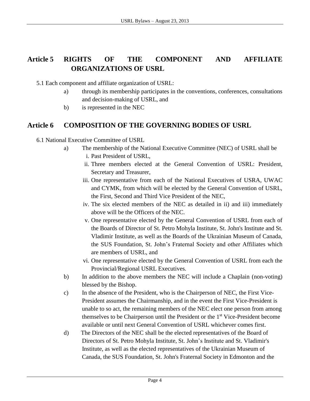# **Article 5 RIGHTS OF THE COMPONENT AND AFFILIATE ORGANIZATIONS OF USRL**

- 5.1 Each component and affiliate organization of USRL:
	- a) through its membership participates in the conventions, conferences, consultations and decision-making of USRL, and
	- b) is represented in the NEC

## **Article 6 COMPOSITION OF THE GOVERNING BODIES OF USRL**

- 6.1 National Executive Committee of USRL
	- a) The membership of the National Executive Committee (NEC) of USRL shall be
		- i. Past President of USRL,
		- ii. Three members elected at the General Convention of USRL: President, Secretary and Treasurer,
		- iii. One representative from each of the National Executives of USRA, UWAC and CYMK, from which will be elected by the General Convention of USRL, the First, Second and Third Vice President of the NEC,
		- iv. The six elected members of the NEC as detailed in ii) and iii) immediately above will be the Officers of the NEC.
		- v. One representative elected by the General Convention of USRL from each of the Boards of Director of St. Petro Mohyla Institute, St. John's Institute and St. Vladimir Institute, as well as the Boards of the Ukrainian Museum of Canada, the SUS Foundation, St. John's Fraternal Society and other Affiliates which are members of USRL, and
		- vi. One representative elected by the General Convention of USRL from each the Provincial/Regional USRL Executives.
	- b) In addition to the above members the NEC will include a Chaplain (non-voting) blessed by the Bishop.
	- c) In the absence of the President, who is the Chairperson of NEC, the First Vice-President assumes the Chairmanship, and in the event the First Vice-President is unable to so act, the remaining members of the NEC elect one person from among themselves to be Chairperson until the President or the 1st Vice-President become available or until next General Convention of USRL whichever comes first.
	- d) The Directors of the NEC shall be the elected representatives of the Board of Directors of St. Petro Mohyla Institute, St. John's Institute and St. Vladimir's Institute, as well as the elected representatives of the Ukrainian Museum of Canada, the SUS Foundation, St. John's Fraternal Society in Edmonton and the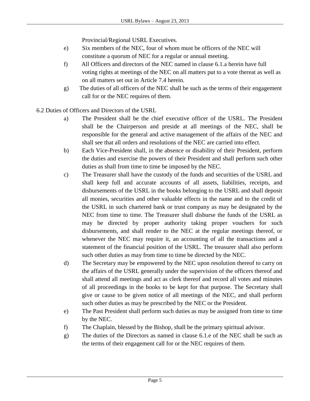Provincial/Regional USRL Executives.

- e) Six members of the NEC, four of whom must be officers of the NEC will constitute a quorum of NEC for a regular or annual meeting.
- f) All Officers and directors of the NEC named in clause 6.1.a herein have full voting rights at meetings of the NEC on all matters put to a vote thereat as well as on all matters set out in Article 7.4 herein.
- g) The duties of all officers of the NEC shall be such as the terms of their engagement call for or the NEC requires of them.

6.2 Duties of Officers and Directors of the USRL

- a) The President shall be the chief executive officer of the USRL. The President shall be the Chairperson and preside at all meetings of the NEC, shall be responsible for the general and active management of the affairs of the NEC and shall see that all orders and resolutions of the NEC are carried into effect.
- b) Each Vice-President shall, in the absence or disability of their President, perform the duties and exercise the powers of their President and shall perform such other duties as shall from time to time be imposed by the NEC.
- c) The Treasurer shall have the custody of the funds and securities of the USRL and shall keep full and accurate accounts of all assets, liabilities, receipts, and disbursements of the USRL in the books belonging to the USRL and shall deposit all monies, securities and other valuable effects in the name and to the credit of the USRL in such chartered bank or trust company as may be designated by the NEC from time to time. The Treasurer shall disburse the funds of the USRL as may be directed by proper authority taking proper vouchers for such disbursements, and shall render to the NEC at the regular meetings thereof, or whenever the NEC may require it, an accounting of all the transactions and a statement of the financial position of the USRL. The treasurer shall also perform such other duties as may from time to time be directed by the NEC.
- d) The Secretary may be empowered by the NEC upon resolution thereof to carry on the affairs of the USRL generally under the supervision of the officers thereof and shall attend all meetings and act as clerk thereof and record all votes and minutes of all proceedings in the books to be kept for that purpose. The Secretary shall give or cause to be given notice of all meetings of the NEC, and shall perform such other duties as may be prescribed by the NEC or the President.
- e) The Past President shall perform such duties as may be assigned from time to time by the NEC.
- f) The Chaplain, blessed by the Bishop, shall be the primary spiritual advisor.
- g) The duties of the Directors as named in clause 6.1.e of the NEC shall be such as the terms of their engagement call for or the NEC requires of them.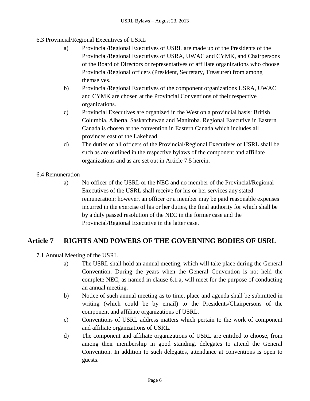- 6.3 Provincial/Regional Executives of USRL
	- a) Provincial/Regional Executives of USRL are made up of the Presidents of the Provincial/Regional Executives of USRA, UWAC and CYMK, and Chairpersons of the Board of Directors or representatives of affiliate organizations who choose Provincial/Regional officers (President, Secretary, Treasurer) from among themselves.
	- b) Provincial/Regional Executives of the component organizations USRA, UWAC and CYMK are chosen at the Provincial Conventions of their respective organizations.
	- c) Provincial Executives are organized in the West on a provincial basis: British Columbia, Alberta, Saskatchewan and Manitoba. Regional Executive in Eastern Canada is chosen at the convention in Eastern Canada which includes all provinces east of the Lakehead.
	- d) The duties of all officers of the Provincial/Regional Executives of USRL shall be such as are outlined in the respective bylaws of the component and affiliate organizations and as are set out in Article 7.5 herein.

#### 6.4 Remuneration

a) No officer of the USRL or the NEC and no member of the Provincial/Regional Executives of the USRL shall receive for his or her services any stated remuneration; however, an officer or a member may be paid reasonable expenses incurred in the exercise of his or her duties, the final authority for which shall be by a duly passed resolution of the NEC in the former case and the Provincial/Regional Executive in the latter case.

# **Article 7 RIGHTS AND POWERS OF THE GOVERNING BODIES OF USRL**

- 7.1 Annual Meeting of the USRL
	- a) The USRL shall hold an annual meeting, which will take place during the General Convention. During the years when the General Convention is not held the complete NEC, as named in clause 6.1.a, will meet for the purpose of conducting an annual meeting.
	- b) Notice of such annual meeting as to time, place and agenda shall be submitted in writing (which could be by email) to the Presidents/Chairpersons of the component and affiliate organizations of USRL.
	- c) Conventions of USRL address matters which pertain to the work of component and affiliate organizations of USRL.
	- d) The component and affiliate organizations of USRL are entitled to choose, from among their membership in good standing, delegates to attend the General Convention. In addition to such delegates, attendance at conventions is open to guests.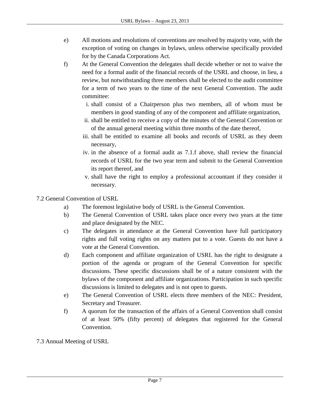- e) All motions and resolutions of conventions are resolved by majority vote, with the exception of voting on changes in bylaws, unless otherwise specifically provided for by the Canada Corporations Act.
- f) At the General Convention the delegates shall decide whether or not to waive the need for a formal audit of the financial records of the USRL and choose, in lieu, a review, but notwithstanding three members shall be elected to the audit committee for a term of two years to the time of the next General Convention. The audit committee:
	- i. shall consist of a Chairperson plus two members, all of whom must be members in good standing of any of the component and affiliate organization,
	- ii. shall be entitled to receive a copy of the minutes of the General Convention or of the annual general meeting within three months of the date thereof,
	- iii. shall be entitled to examine all books and records of USRL as they deem necessary,
	- iv. in the absence of a formal audit as 7.1.f above, shall review the financial records of USRL for the two year term and submit to the General Convention its report thereof, and
	- v. shall have the right to employ a professional accountant if they consider it necessary.

#### 7.2 General Convention of USRL

- a) The foremost legislative body of USRL is the General Convention.
- b) The General Convention of USRL takes place once every two years at the time and place designated by the NEC.
- c) The delegates in attendance at the General Convention have full participatory rights and full voting rights on any matters put to a vote. Guests do not have a vote at the General Convention.
- d) Each component and affiliate organization of USRL has the right to designate a portion of the agenda or program of the General Convention for specific discussions. These specific discussions shall be of a nature consistent with the bylaws of the component and affiliate organizations. Participation in such specific discussions is limited to delegates and is not open to guests.
- e) The General Convention of USRL elects three members of the NEC: President, Secretary and Treasurer.
- f) A quorum for the transaction of the affairs of a General Convention shall consist of at least 50% (fifty percent) of delegates that registered for the General Convention.
- 7.3 Annual Meeting of USRL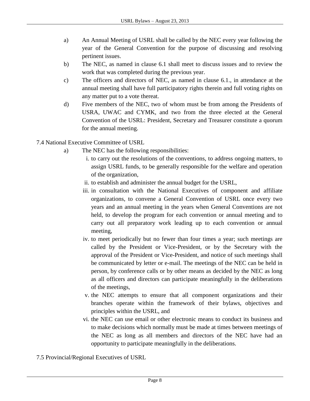- a) An Annual Meeting of USRL shall be called by the NEC every year following the year of the General Convention for the purpose of discussing and resolving pertinent issues.
- b) The NEC, as named in clause 6.1 shall meet to discuss issues and to review the work that was completed during the previous year.
- c) The officers and directors of NEC, as named in clause 6.1., in attendance at the annual meeting shall have full participatory rights therein and full voting rights on any matter put to a vote thereat.
- d) Five members of the NEC, two of whom must be from among the Presidents of USRA, UWAC and CYMK, and two from the three elected at the General Convention of the USRL: President, Secretary and Treasurer constitute a quorum for the annual meeting.

7.4 National Executive Committee of USRL

- a) The NEC has the following responsibilities:
	- i. to carry out the resolutions of the conventions, to address ongoing matters, to assign USRL funds, to be generally responsible for the welfare and operation of the organization,
	- ii. to establish and administer the annual budget for the USRL,
	- iii. in consultation with the National Executives of component and affiliate organizations, to convene a General Convention of USRL once every two years and an annual meeting in the years when General Conventions are not held, to develop the program for each convention or annual meeting and to carry out all preparatory work leading up to each convention or annual meeting,
	- iv. to meet periodically but no fewer than four times a year; such meetings are called by the President or Vice-President, or by the Secretary with the approval of the President or Vice-President, and notice of such meetings shall be communicated by letter or e-mail. The meetings of the NEC can be held in person, by conference calls or by other means as decided by the NEC as long as all officers and directors can participate meaningfully in the deliberations of the meetings,
	- v. the NEC attempts to ensure that all component organizations and their branches operate within the framework of their bylaws, objectives and principles within the USRL, and
	- vi. the NEC can use email or other electronic means to conduct its business and to make decisions which normally must be made at times between meetings of the NEC as long as all members and directors of the NEC have had an opportunity to participate meaningfully in the deliberations.

7.5 Provincial/Regional Executives of USRL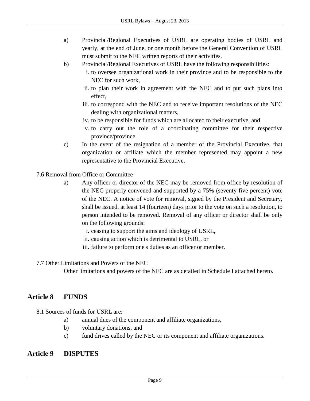- a) Provincial/Regional Executives of USRL are operating bodies of USRL and yearly, at the end of June, or one month before the General Convention of USRL must submit to the NEC written reports of their activities.
- b) Provincial/Regional Executives of USRL have the following responsibilities:
	- i. to oversee organizational work in their province and to be responsible to the NEC for such work,
	- ii. to plan their work in agreement with the NEC and to put such plans into effect,
	- iii. to correspond with the NEC and to receive important resolutions of the NEC dealing with organizational matters,
	- iv. to be responsible for funds which are allocated to their executive, and
	- v. to carry out the role of a coordinating committee for their respective province/province.
- c) In the event of the resignation of a member of the Provincial Executive, that organization or affiliate which the member represented may appoint a new representative to the Provincial Executive.
- 7.6 Removal from Office or Committee
	- a) Any officer or director of the NEC may be removed from office by resolution of the NEC properly convened and supported by a 75% (seventy five percent) vote of the NEC. A notice of vote for removal, signed by the President and Secretary, shall be issued, at least 14 (fourteen) days prior to the vote on such a resolution, to person intended to be removed. Removal of any officer or director shall be only on the following grounds:
		- i. ceasing to support the aims and ideology of USRL,
		- ii. causing action which is detrimental to USRL, or
		- iii. failure to perform one's duties as an officer or member.
- 7.7 Other Limitations and Powers of the NEC

Other limitations and powers of the NEC are as detailed in Schedule I attached hereto.

## **Article 8 FUNDS**

8.1 Sources of funds for USRL are:

- a) annual dues of the component and affiliate organizations,
- b) voluntary donations, and
- c) fund drives called by the NEC or its component and affiliate organizations.

#### **Article 9 DISPUTES**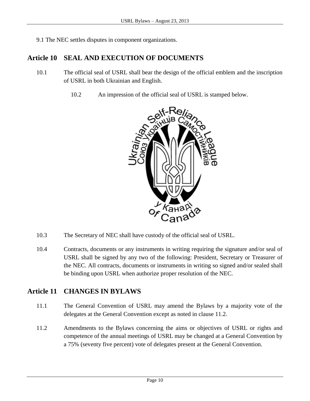9.1 The NEC settles disputes in component organizations.

## **Article 10 SEAL AND EXECUTION OF DOCUMENTS**

- 10.1 The official seal of USRL shall bear the design of the official emblem and the inscription of USRL in both Ukrainian and English.
	- 10.2 An impression of the official seal of USRL is stamped below.



- 10.3 The Secretary of NEC shall have custody of the official seal of USRL.
- 10.4 Contracts, documents or any instruments in writing requiring the signature and/or seal of USRL shall be signed by any two of the following: President, Secretary or Treasurer of the NEC. All contracts, documents or instruments in writing so signed and/or sealed shall be binding upon USRL when authorize proper resolution of the NEC.

## **Article 11 CHANGES IN BYLAWS**

- 11.1 The General Convention of USRL may amend the Bylaws by a majority vote of the delegates at the General Convention except as noted in clause 11.2.
- 11.2 Amendments to the Bylaws concerning the aims or objectives of USRL or rights and competence of the annual meetings of USRL may be changed at a General Convention by a 75% (seventy five percent) vote of delegates present at the General Convention.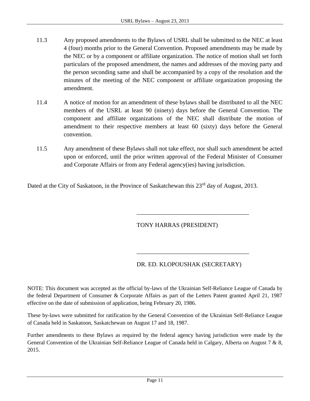- 11.3 Any proposed amendments to the Bylaws of USRL shall be submitted to the NEC at least 4 (four) months prior to the General Convention. Proposed amendments may be made by the NEC or by a component or affiliate organization. The notice of motion shall set forth particulars of the proposed amendment, the names and addresses of the moving party and the person seconding same and shall be accompanied by a copy of the resolution and the minutes of the meeting of the NEC component or affiliate organization proposing the amendment.
- 11.4 A notice of motion for an amendment of these bylaws shall be distributed to all the NEC members of the USRL at least 90 (ninety) days before the General Convention. The component and affiliate organizations of the NEC shall distribute the motion of amendment to their respective members at least 60 (sixty) days before the General convention.
- 11.5 Any amendment of these Bylaws shall not take effect, nor shall such amendment be acted upon or enforced, until the prior written approval of the Federal Minister of Consumer and Corporate Affairs or from any Federal agency(ies) having jurisdiction.

Dated at the City of Saskatoon, in the Province of Saskatchewan this 23<sup>rd</sup> day of August, 2013.

#### TONY HARRAS (PRESIDENT)

#### DR. ED. KLOPOUSHAK (SECRETARY)

\_\_\_\_\_\_\_\_\_\_\_\_\_\_\_\_\_\_\_\_\_\_\_\_\_\_\_\_\_\_\_\_\_\_\_\_\_

\_\_\_\_\_\_\_\_\_\_\_\_\_\_\_\_\_\_\_\_\_\_\_\_\_\_\_\_\_\_\_\_\_\_\_\_\_

NOTE: This document was accepted as the official by-laws of the Ukrainian Self-Reliance League of Canada by the federal Department of Consumer & Corporate Affairs as part of the Letters Patent granted April 21, 1987 effective on the date of submission of application, being February 20, 1986.

These by-laws were submitted for ratification by the General Convention of the Ukrainian Self-Reliance League of Canada held in Saskatoon, Saskatchewan on August 17 and 18, 1987.

Further amendments to these Bylaws as required by the federal agency having jurisdiction were made by the General Convention of the Ukrainian Self-Reliance League of Canada held in Calgary, Alberta on August 7 & 8, 2015.